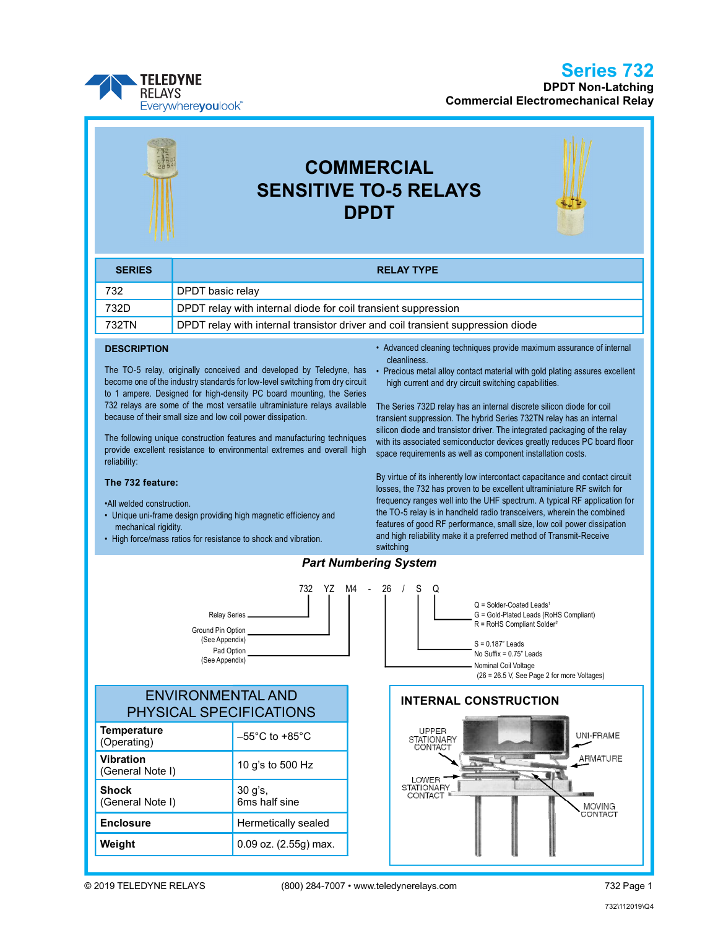Series 732

DPDT Non-Latching Commercial Electromechanical Relay



# COMMERCIAL SENSITIVE TO-5 RELAYS DPDT

| <b>SERIES</b> | <b>RELAY TYPE</b>                                                               |
|---------------|---------------------------------------------------------------------------------|
| 732           | <b>DPDT</b> basic relay                                                         |
| 732D          | DPDT relay with internal diode for coil transient suppression                   |
| 732TN         | DPDT relay with internal transistor driver and coil transient suppression diode |

#### **DESCRIPTION**

The TO-5 relay, originally conceived and developed by Teledyne, has become one of the industry standards for low-level switching from dry circuit to 1 ampere. Designed for high-density PC board mounting, the Series 732 relays are some of the most versatile ultraminiature relays available because of their small size and low coil power dissipation.

The following unique construction features and manufacturing techniques provide excellent resistance to environmental extremes and overall high reliability:

#### The 732 feature:

•All welded construction.

- Unique uni-frame design providing high magnetic efficiency and mechanical rigidity.
- High force/mass ratios for resistance to shock and vibration.
- Advanced cleaning techniques provide maximum assurance of internal cleanliness.
- Precious metal alloy contact material with gold plating assures excellent high current and dry circuit switching capabilities.

The Series 732D relay has an internal discrete silicon diode for coil transient suppression. The hybrid Series 732TN relay has an internal silicon diode and transistor driver. The integrated packaging of the relay with its associated semiconductor devices greatly reduces PC board floor space requirements as well as component installation costs.

By virtue of its inherently low intercontact capacitance and contact circuit losses, the 732 has proven to be excellent ultraminiature RF switch for frequency ranges well into the UHF spectrum. A typical RF application for the TO-5 relay is in handheld radio transceivers, wherein the combined features of good RF performance, small size, low coil power dissipation and high reliability make it a preferred method of Transmit-Receive

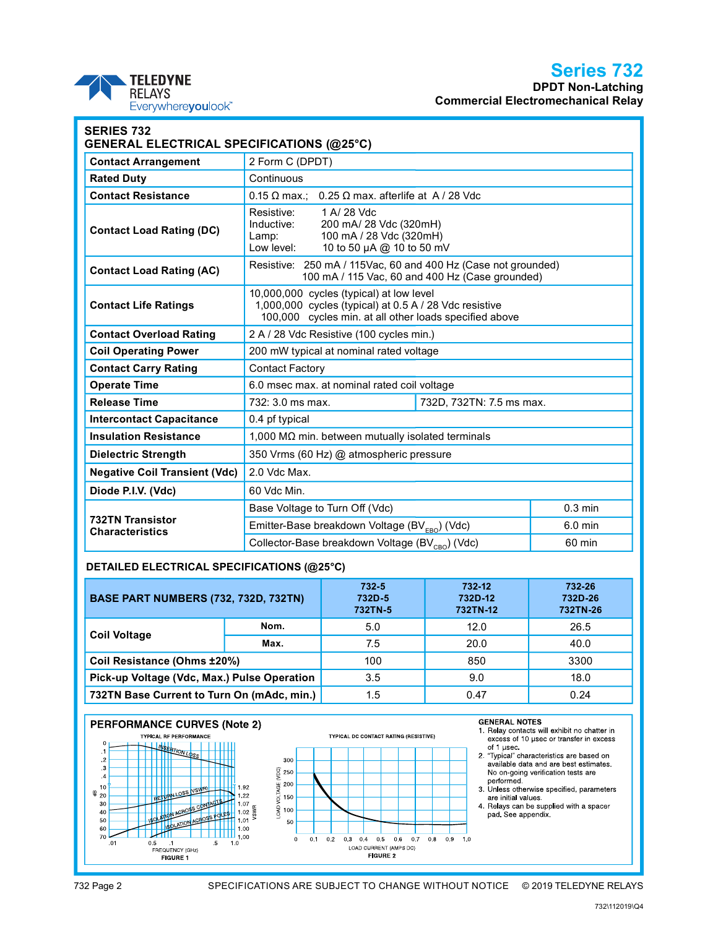# Series 732

DPDT Non-Latching Commercial Electromechanical Relay

| Ζ | <b>TELEDYNE</b>    |
|---|--------------------|
|   | <b>RELAYS</b>      |
|   | Everywhereyoulook" |

| <b>SERIES 732</b><br><b>GENERAL ELECTRICAL SPECIFICATIONS (@25°C)</b> |                                                                                                                                                              |  |           |
|-----------------------------------------------------------------------|--------------------------------------------------------------------------------------------------------------------------------------------------------------|--|-----------|
| <b>Contact Arrangement</b>                                            | 2 Form C (DPDT)                                                                                                                                              |  |           |
| <b>Rated Duty</b>                                                     | Continuous                                                                                                                                                   |  |           |
| <b>Contact Resistance</b>                                             | $0.25 \Omega$ max. afterlife at A / 28 Vdc<br>$0.15 \Omega$ max.:                                                                                            |  |           |
| <b>Contact Load Rating (DC)</b>                                       | Resistive:<br>1 A/ 28 Vdc<br>200 mA/ 28 Vdc (320mH)<br>Inductive:<br>100 mA / 28 Vdc (320mH)<br>Lamp:<br>Low level:<br>10 to 50 µA @ 10 to 50 mV             |  |           |
| <b>Contact Load Rating (AC)</b>                                       | Resistive: 250 mA / 115Vac, 60 and 400 Hz (Case not grounded)<br>100 mA / 115 Vac, 60 and 400 Hz (Case grounded)                                             |  |           |
| <b>Contact Life Ratings</b>                                           | 10,000,000 cycles (typical) at low level<br>1,000,000 cycles (typical) at 0.5 A / 28 Vdc resistive<br>100,000 cycles min. at all other loads specified above |  |           |
| <b>Contact Overload Rating</b>                                        | 2 A / 28 Vdc Resistive (100 cycles min.)                                                                                                                     |  |           |
| <b>Coil Operating Power</b>                                           | 200 mW typical at nominal rated voltage                                                                                                                      |  |           |
| <b>Contact Carry Rating</b>                                           | <b>Contact Factory</b>                                                                                                                                       |  |           |
| <b>Operate Time</b>                                                   | 6.0 msec max. at nominal rated coil voltage                                                                                                                  |  |           |
| <b>Release Time</b>                                                   | 732: 3.0 ms max.<br>732D, 732TN: 7.5 ms max.                                                                                                                 |  |           |
| <b>Intercontact Capacitance</b>                                       | 0.4 pf typical                                                                                                                                               |  |           |
| <b>Insulation Resistance</b>                                          | 1,000 M $\Omega$ min. between mutually isolated terminals                                                                                                    |  |           |
| <b>Dielectric Strength</b>                                            | 350 Vrms (60 Hz) @ atmospheric pressure                                                                                                                      |  |           |
| <b>Negative Coil Transient (Vdc)</b>                                  | 2.0 Vdc Max.                                                                                                                                                 |  |           |
| Diode P.I.V. (Vdc)                                                    | 60 Vdc Min.                                                                                                                                                  |  |           |
|                                                                       | Base Voltage to Turn Off (Vdc)                                                                                                                               |  | $0.3$ min |
| <b>732TN Transistor</b><br><b>Characteristics</b>                     | Emitter-Base breakdown Voltage (BV <sub>EBO</sub> ) (Vdc)                                                                                                    |  | $6.0$ min |
|                                                                       | Collector-Base breakdown Voltage (BV <sub>CBO</sub> ) (Vdc)                                                                                                  |  | 60 min    |

### DETAILED ELECTRICAL SPECIFICATIONS (@25°C)

| <b>BASE PART NUMBERS (732, 732D, 732TN)</b> |      | $732 - 5$<br>732D-5<br>732TN-5 | 732-12<br>732D-12<br>732TN-12 | 732-26<br>732D-26<br>732TN-26 |
|---------------------------------------------|------|--------------------------------|-------------------------------|-------------------------------|
| <b>Coil Voltage</b>                         | Nom. | 5.0                            | 12.0                          | 26.5                          |
|                                             | Max. | 7.5                            | 20.0                          | 40.0                          |
| Coil Resistance (Ohms ±20%)                 |      | 100                            | 850                           | 3300                          |
| Pick-up Voltage (Vdc, Max.) Pulse Operation |      | 3.5                            | 9.0                           | 18.0                          |
| 732TN Base Current to Turn On (mAdc, min.)  |      | 1.5                            | 0.47                          | 0.24                          |

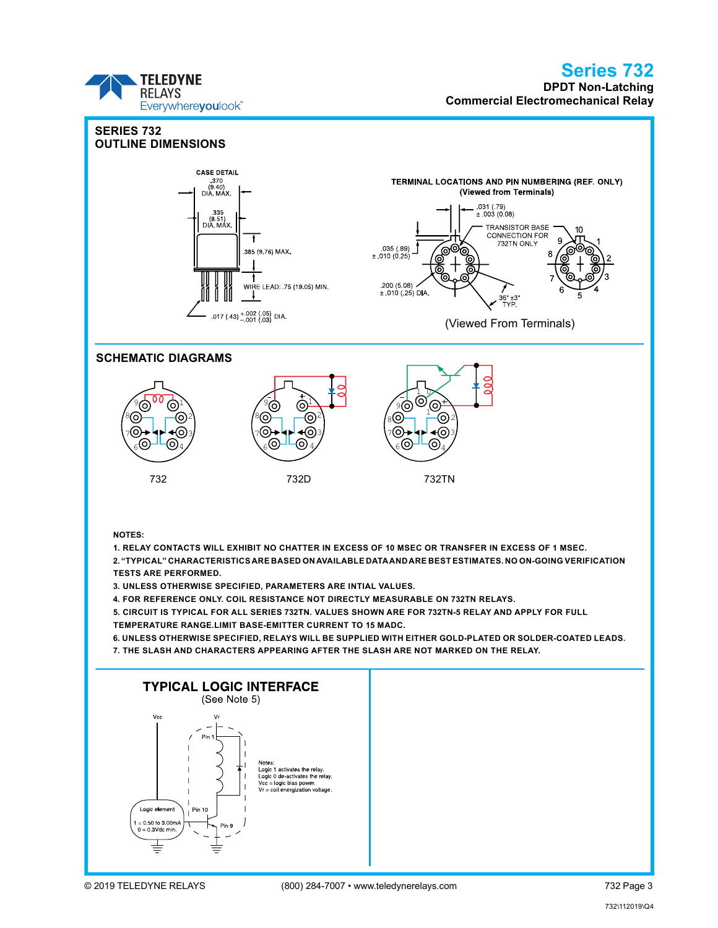## Series 732

DPDT Non-Latching Commercial Electromechanical Relay



**TELEDYNE RELAYS**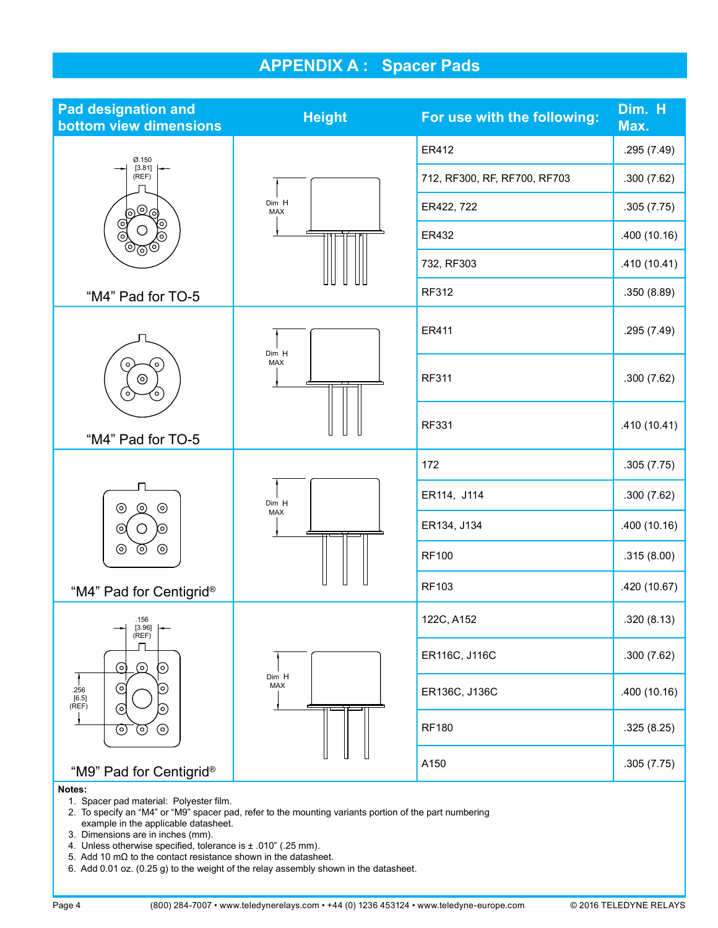## APPENDIX A : Spacer Pads

| <b>Pad designation and</b><br>bottom view dimensions                                                                   | <b>Height</b>       | For use with the following:  | Dim. H<br>Max. |
|------------------------------------------------------------------------------------------------------------------------|---------------------|------------------------------|----------------|
| Ø.150<br>[3.81]<br>(REF)<br>මලු                                                                                        |                     | ER412                        | .295 (7.49)    |
|                                                                                                                        | Dim H<br><b>MAX</b> | 712, RF300, RF, RF700, RF703 | .300(7.62)     |
|                                                                                                                        |                     | ER422, 722                   | .305(7.75)     |
| ල්<br>ම<br>(၀)                                                                                                         |                     | ER432                        | .400(10.16)    |
| ಄಄಄                                                                                                                    |                     | 732, RF303                   | .410 (10.41)   |
| "M4" Pad for TO-5                                                                                                      |                     | RF312                        | .350(8.89)     |
|                                                                                                                        |                     | ER411                        | .295 (7.49)    |
| (໑)<br>$\circ$<br>$\odot$<br>$\sim$<br>$\circ$                                                                         | Dim H<br>MAX        | <b>RF311</b>                 | .300(7.62)     |
| "M4" Pad for TO-5                                                                                                      |                     | <b>RF331</b>                 | .410 (10.41)   |
| $\odot$<br>$\odot$<br>$\odot$<br>⊚<br>O<br>(၀)<br>$\circledcirc$<br>$\circledcirc$<br>$\odot$                          | Dim H<br>MAX        | 172                          | .305(7.75)     |
|                                                                                                                        |                     | ER114, J114                  | .300(7.62)     |
|                                                                                                                        |                     | ER134, J134                  | .400(10.16)    |
|                                                                                                                        |                     | <b>RF100</b>                 | .315(8.00)     |
| "M4" Pad for Centigrid®                                                                                                |                     | RF103                        | .420 (10.67)   |
| .156<br>[3.96]<br>(REF)<br>$\odot$<br>$\odot$<br>ପ<br>⊚<br>.256<br>[6.5]<br>(REF)<br>⊚<br>D<br>$\odot$<br>$\odot$<br>⊚ |                     | 122C, A152                   | .320(8.13)     |
|                                                                                                                        | Dim H<br>MAX        | ER116C, J116C                | .300(7.62)     |
|                                                                                                                        |                     | ER136C, J136C                | .400(10.16)    |
|                                                                                                                        |                     | <b>RF180</b>                 | .325(8.25)     |
| "M9" Pad for Centigrid®<br>Notes:                                                                                      |                     | A150                         | .305(7.75)     |

1. Spacer pad material: Polyester film.

- 2. To specify an "M4" or "M9" spacer pad, refer to the mounting variants portion of the part numbering example in the applicable datasheet.
- 3. Dimensions are in inches (mm).
- 4. Unless otherwise specified, tolerance is  $\pm$  .010" (.25 mm).
- 5. Add 10 mΩ to the contact resistance shown in the datasheet.
- 6. Add 0.01 oz. (0.25 g) to the weight of the relay assembly shown in the datasheet.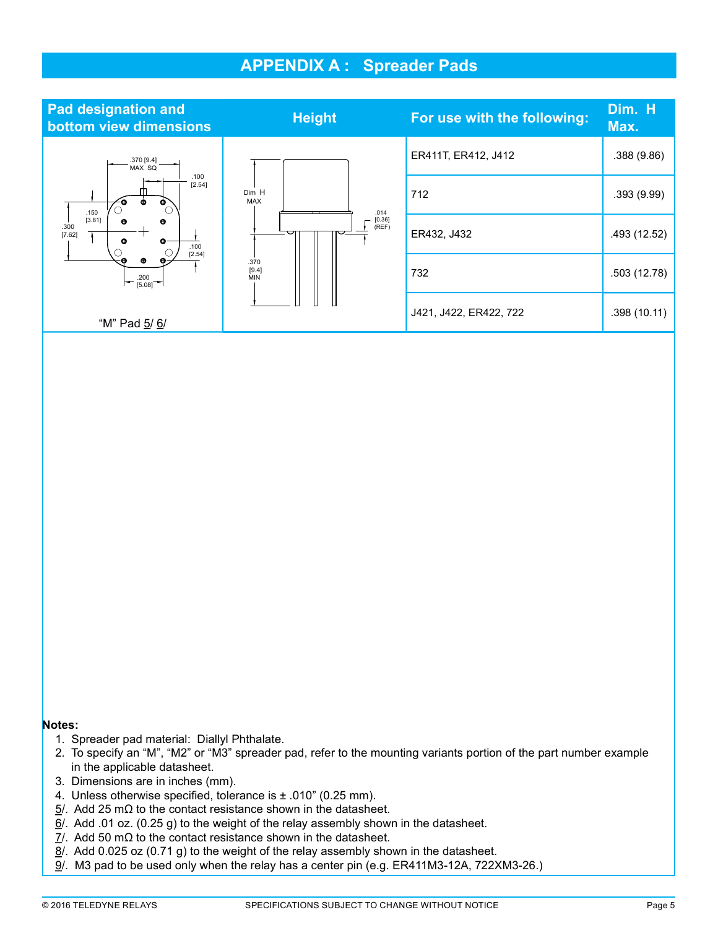### APPENDIX A : Spreader Pads



### Notes:

- 1. Spreader pad material: Diallyl Phthalate.
- 2. To specify an "M", "M2" or "M3" spreader pad, refer to the mounting variants portion of the part number example in the applicable datasheet.
- 3. Dimensions are in inches (mm).
- 4. Unless otherwise specified, tolerance is  $\pm$  .010" (0.25 mm).
- $5/$ . Add 25 mΩ to the contact resistance shown in the datasheet.
- $6/$ . Add .01 oz. (0.25 g) to the weight of the relay assembly shown in the datasheet.
- $7/$ . Add 50 m $\Omega$  to the contact resistance shown in the datasheet.
- $8/$ . Add 0.025 oz (0.71 g) to the weight of the relay assembly shown in the datasheet.
- 9/. M3 pad to be used only when the relay has a center pin (e.g. ER411M3-12A, 722XM3-26.)